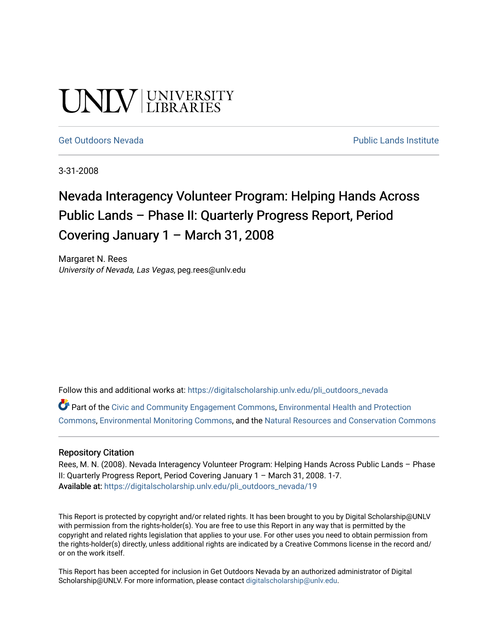# UNIV UNIVERSITY

#### [Get Outdoors Nevada](https://digitalscholarship.unlv.edu/pli_outdoors_nevada) **Public Lands Institute** Public Lands Institute

3-31-2008

## Nevada Interagency Volunteer Program: Helping Hands Across Public Lands – Phase II: Quarterly Progress Report, Period Covering January 1 – March 31, 2008

Margaret N. Rees University of Nevada, Las Vegas, peg.rees@unlv.edu

Follow this and additional works at: [https://digitalscholarship.unlv.edu/pli\\_outdoors\\_nevada](https://digitalscholarship.unlv.edu/pli_outdoors_nevada?utm_source=digitalscholarship.unlv.edu%2Fpli_outdoors_nevada%2F19&utm_medium=PDF&utm_campaign=PDFCoverPages)

Part of the [Civic and Community Engagement Commons](http://network.bepress.com/hgg/discipline/1028?utm_source=digitalscholarship.unlv.edu%2Fpli_outdoors_nevada%2F19&utm_medium=PDF&utm_campaign=PDFCoverPages), [Environmental Health and Protection](http://network.bepress.com/hgg/discipline/172?utm_source=digitalscholarship.unlv.edu%2Fpli_outdoors_nevada%2F19&utm_medium=PDF&utm_campaign=PDFCoverPages)  [Commons](http://network.bepress.com/hgg/discipline/172?utm_source=digitalscholarship.unlv.edu%2Fpli_outdoors_nevada%2F19&utm_medium=PDF&utm_campaign=PDFCoverPages), [Environmental Monitoring Commons,](http://network.bepress.com/hgg/discipline/931?utm_source=digitalscholarship.unlv.edu%2Fpli_outdoors_nevada%2F19&utm_medium=PDF&utm_campaign=PDFCoverPages) and the [Natural Resources and Conservation Commons](http://network.bepress.com/hgg/discipline/168?utm_source=digitalscholarship.unlv.edu%2Fpli_outdoors_nevada%2F19&utm_medium=PDF&utm_campaign=PDFCoverPages)

#### Repository Citation

Rees, M. N. (2008). Nevada Interagency Volunteer Program: Helping Hands Across Public Lands - Phase II: Quarterly Progress Report, Period Covering January 1 – March 31, 2008. 1-7. Available at: [https://digitalscholarship.unlv.edu/pli\\_outdoors\\_nevada/19](https://digitalscholarship.unlv.edu/pli_outdoors_nevada/19) 

This Report is protected by copyright and/or related rights. It has been brought to you by Digital Scholarship@UNLV with permission from the rights-holder(s). You are free to use this Report in any way that is permitted by the copyright and related rights legislation that applies to your use. For other uses you need to obtain permission from the rights-holder(s) directly, unless additional rights are indicated by a Creative Commons license in the record and/ or on the work itself.

This Report has been accepted for inclusion in Get Outdoors Nevada by an authorized administrator of Digital Scholarship@UNLV. For more information, please contact [digitalscholarship@unlv.edu.](mailto:digitalscholarship@unlv.edu)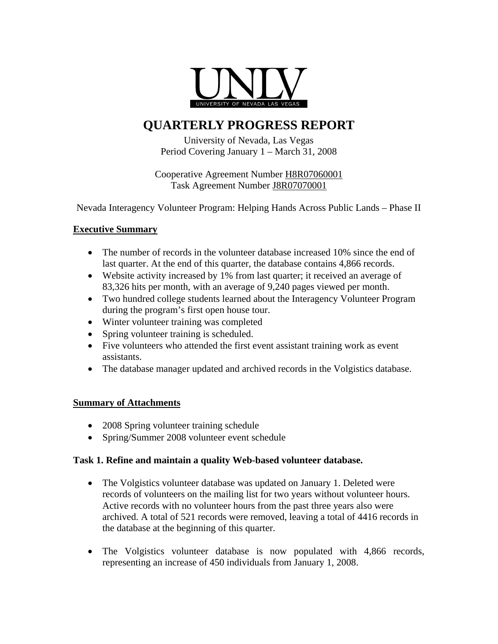

### **QUARTERLY PROGRESS REPORT**

University of Nevada, Las Vegas Period Covering January 1 – March 31, 2008

Cooperative Agreement Number H8R07060001 Task Agreement Number J8R07070001

Nevada Interagency Volunteer Program: Helping Hands Across Public Lands – Phase II

#### **Executive Summary**

- The number of records in the volunteer database increased 10% since the end of last quarter. At the end of this quarter, the database contains 4,866 records.
- Website activity increased by 1% from last quarter; it received an average of 83,326 hits per month, with an average of 9,240 pages viewed per month.
- Two hundred college students learned about the Interagency Volunteer Program during the program's first open house tour.
- Winter volunteer training was completed
- Spring volunteer training is scheduled.
- Five volunteers who attended the first event assistant training work as event assistants.
- The database manager updated and archived records in the Volgistics database.

#### **Summary of Attachments**

- 2008 Spring volunteer training schedule
- Spring/Summer 2008 volunteer event schedule

#### **Task 1. Refine and maintain a quality Web-based volunteer database.**

- The Volgistics volunteer database was updated on January 1. Deleted were records of volunteers on the mailing list for two years without volunteer hours. Active records with no volunteer hours from the past three years also were archived. A total of 521 records were removed, leaving a total of 4416 records in the database at the beginning of this quarter.
- The Volgistics volunteer database is now populated with 4,866 records, representing an increase of 450 individuals from January 1, 2008.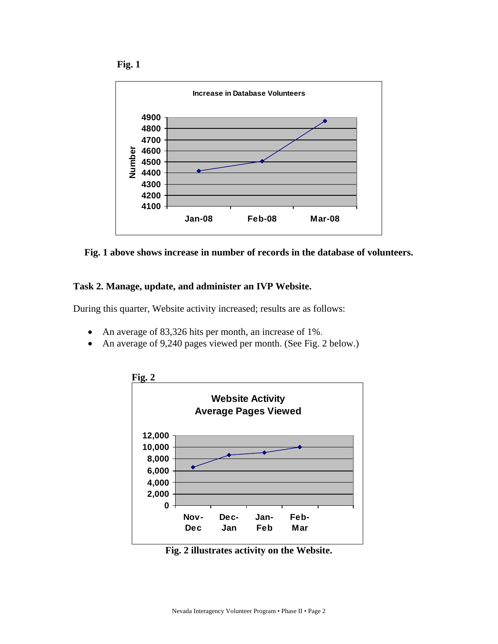





#### **Task 2. Manage, update, and administer an IVP Website.**

During this quarter, Website activity increased; results are as follows:

- An average of 83,326 hits per month, an increase of 1%.
- An average of 9,240 pages viewed per month. (See Fig. 2 below.)



**Fig. 2 illustrates activity on the Website.**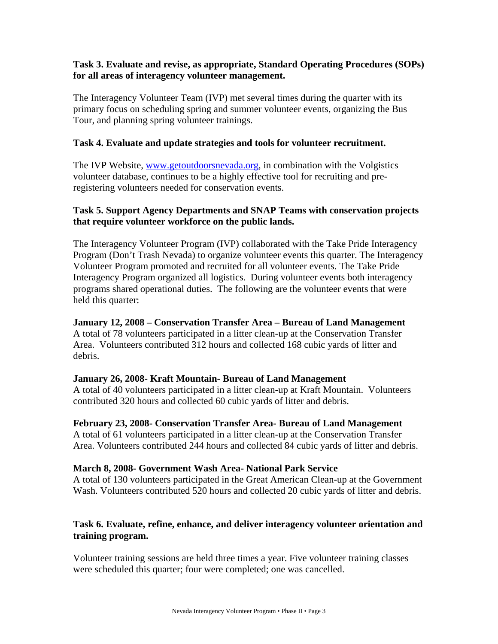#### **Task 3. Evaluate and revise, as appropriate, Standard Operating Procedures (SOPs) for all areas of interagency volunteer management.**

The Interagency Volunteer Team (IVP) met several times during the quarter with its primary focus on scheduling spring and summer volunteer events, organizing the Bus Tour, and planning spring volunteer trainings.

#### **Task 4. Evaluate and update strategies and tools for volunteer recruitment.**

The IVP Website, [www.getoutdoorsnevada.org,](http://www.getoutdoorsnevada.org/) in combination with the Volgistics volunteer database, continues to be a highly effective tool for recruiting and preregistering volunteers needed for conservation events.

#### **Task 5. Support Agency Departments and SNAP Teams with conservation projects that require volunteer workforce on the public lands.**

The Interagency Volunteer Program (IVP) collaborated with the Take Pride Interagency Program (Don't Trash Nevada) to organize volunteer events this quarter. The Interagency Volunteer Program promoted and recruited for all volunteer events. The Take Pride Interagency Program organized all logistics. During volunteer events both interagency programs shared operational duties. The following are the volunteer events that were held this quarter:

#### **January 12, 2008 – Conservation Transfer Area – Bureau of Land Management**

A total of 78 volunteers participated in a litter clean-up at the Conservation Transfer Area. Volunteers contributed 312 hours and collected 168 cubic yards of litter and debris.

#### **January 26, 2008- Kraft Mountain- Bureau of Land Management**

A total of 40 volunteers participated in a litter clean-up at Kraft Mountain. Volunteers contributed 320 hours and collected 60 cubic yards of litter and debris.

**February 23, 2008- Conservation Transfer Area- Bureau of Land Management**  A total of 61 volunteers participated in a litter clean-up at the Conservation Transfer Area. Volunteers contributed 244 hours and collected 84 cubic yards of litter and debris.

#### **March 8, 2008- Government Wash Area- National Park Service**

A total of 130 volunteers participated in the Great American Clean-up at the Government Wash. Volunteers contributed 520 hours and collected 20 cubic yards of litter and debris.

#### **Task 6. Evaluate, refine, enhance, and deliver interagency volunteer orientation and training program.**

Volunteer training sessions are held three times a year. Five volunteer training classes were scheduled this quarter; four were completed; one was cancelled.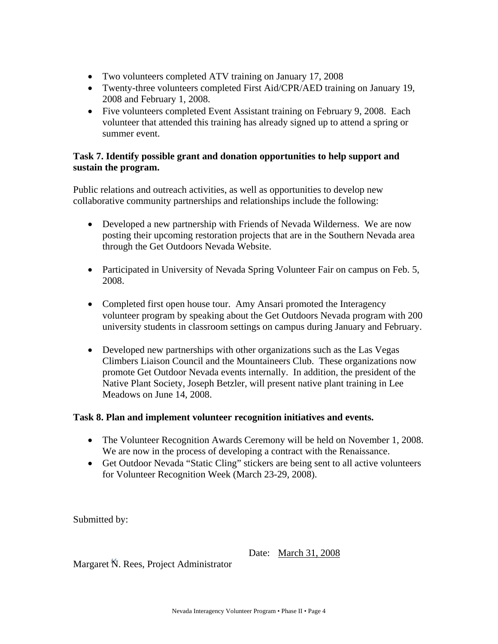- Two volunteers completed ATV training on January 17, 2008
- Twenty-three volunteers completed First Aid/CPR/AED training on January 19, 2008 and February 1, 2008.
- Five volunteers completed Event Assistant training on February 9, 2008. Each volunteer that attended this training has already signed up to attend a spring or summer event.

#### **Task 7. Identify possible grant and donation opportunities to help support and sustain the program.**

Public relations and outreach activities, as well as opportunities to develop new collaborative community partnerships and relationships include the following:

- Developed a new partnership with Friends of Nevada Wilderness. We are now posting their upcoming restoration projects that are in the Southern Nevada area through the Get Outdoors Nevada Website.
- Participated in University of Nevada Spring Volunteer Fair on campus on Feb. 5, 2008.
- Completed first open house tour. Amy Ansari promoted the Interagency volunteer program by speaking about the Get Outdoors Nevada program with 200 university students in classroom settings on campus during January and February.
- Developed new partnerships with other organizations such as the Las Vegas Climbers Liaison Council and the Mountaineers Club. These organizations now promote Get Outdoor Nevada events internally. In addition, the president of the Native Plant Society, Joseph Betzler, will present native plant training in Lee Meadows on June 14, 2008.

#### **Task 8. Plan and implement volunteer recognition initiatives and events.**

- The Volunteer Recognition Awards Ceremony will be held on November 1, 2008. We are now in the process of developing a contract with the Renaissance.
- Get Outdoor Nevada "Static Cling" stickers are being sent to all active volunteers for Volunteer Recognition Week (March 23-29, 2008).

Submitted by:

Date: March 31, 2008

Margaret N. Rees, Project Administrator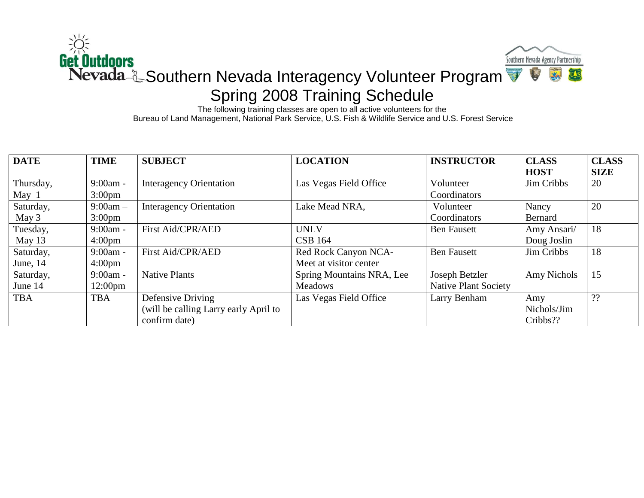

The following training classes are open to all active volunteers for the Bureau of Land Management, National Park Service, U.S. Fish & Wildlife Service and U.S. Forest Service

| <b>DATE</b> | <b>TIME</b>       | <b>SUBJECT</b>                        | <b>LOCATION</b>           | <b>INSTRUCTOR</b>           | <b>CLASS</b> | <b>CLASS</b> |
|-------------|-------------------|---------------------------------------|---------------------------|-----------------------------|--------------|--------------|
|             |                   |                                       |                           |                             | <b>HOST</b>  | <b>SIZE</b>  |
| Thursday,   | $9:00am -$        | <b>Interagency Orientation</b>        | Las Vegas Field Office    | Volunteer                   | Jim Cribbs   | 20           |
| May 1       | $3:00 \text{pm}$  |                                       |                           | Coordinators                |              |              |
| Saturday,   | $9:00am -$        | <b>Interagency Orientation</b>        | Lake Mead NRA,            | Volunteer                   | Nancy        | 20           |
| May 3       | $3:00 \text{pm}$  |                                       |                           | Coordinators                | Bernard      |              |
| Tuesday,    | $9:00am -$        | First Aid/CPR/AED                     | <b>UNLV</b>               | <b>Ben Fausett</b>          | Amy Ansari/  | 18           |
| May 13      | $4:00 \text{pm}$  |                                       | <b>CSB 164</b>            |                             | Doug Joslin  |              |
| Saturday,   | $9:00am -$        | First Aid/CPR/AED                     | Red Rock Canyon NCA-      | <b>Ben Fausett</b>          | Jim Cribbs   | 18           |
| June, 14    | $4:00 \text{pm}$  |                                       | Meet at visitor center    |                             |              |              |
| Saturday,   | $9:00am -$        | <b>Native Plants</b>                  | Spring Mountains NRA, Lee | Joseph Betzler              | Amy Nichols  | 15           |
| June 14     | $12:00 \text{pm}$ |                                       | <b>Meadows</b>            | <b>Native Plant Society</b> |              |              |
| <b>TBA</b>  | <b>TBA</b>        | Defensive Driving                     | Las Vegas Field Office    | Larry Benham                | Amy          | ??           |
|             |                   | (will be calling Larry early April to |                           |                             | Nichols/Jim  |              |
|             |                   | confirm date)                         |                           |                             | Cribbs??     |              |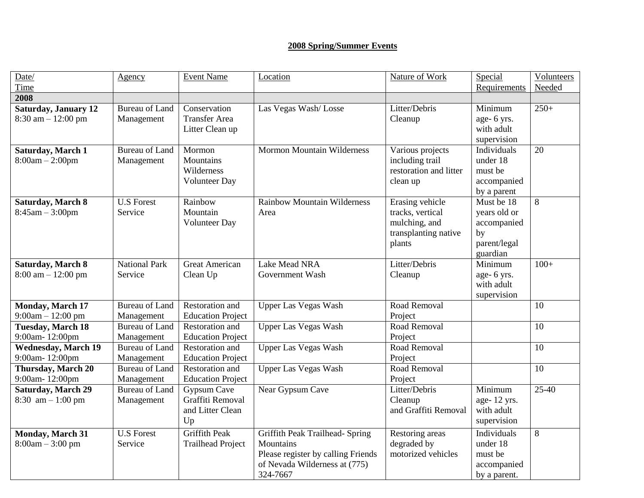#### **2008 Spring/Summer Events**

| Date/<br>Time                                                    | Agency                              | <b>Event Name</b>                                         | Location                                                                                                                        | Nature of Work                                                                         | Special<br>Requirements                                                     | Volunteers<br>Needed |
|------------------------------------------------------------------|-------------------------------------|-----------------------------------------------------------|---------------------------------------------------------------------------------------------------------------------------------|----------------------------------------------------------------------------------------|-----------------------------------------------------------------------------|----------------------|
| 2008                                                             |                                     |                                                           |                                                                                                                                 |                                                                                        |                                                                             |                      |
| <b>Saturday, January 12</b><br>$8:30$ am $-12:00$ pm             | <b>Bureau of Land</b><br>Management | Conservation<br><b>Transfer Area</b><br>Litter Clean up   | Las Vegas Wash/Losse                                                                                                            | Litter/Debris<br>Cleanup                                                               | Minimum<br>age- 6 yrs.<br>with adult<br>supervision                         | $250+$               |
| Saturday, March 1<br>$8:00am - 2:00pm$                           | <b>Bureau of Land</b><br>Management | Mormon<br>Mountains<br>Wilderness<br><b>Volunteer Day</b> | <b>Mormon Mountain Wilderness</b>                                                                                               | Various projects<br>including trail<br>restoration and litter<br>clean up              | Individuals<br>under 18<br>must be<br>accompanied<br>by a parent            | 20                   |
| <b>Saturday, March 8</b><br>$8:45am - 3:00pm$                    | <b>U.S Forest</b><br>Service        | Rainbow<br>Mountain<br><b>Volunteer Day</b>               | <b>Rainbow Mountain Wilderness</b><br>Area                                                                                      | Erasing vehicle<br>tracks, vertical<br>mulching, and<br>transplanting native<br>plants | Must be 18<br>years old or<br>accompanied<br>by<br>parent/legal<br>guardian | 8                    |
| <b>Saturday, March 8</b><br>$8:00 \text{ am} - 12:00 \text{ pm}$ | <b>National Park</b><br>Service     | Great American<br>Clean Up                                | Lake Mead NRA<br>Government Wash                                                                                                | Litter/Debris<br>Cleanup                                                               | Minimum<br>age- 6 yrs.<br>with adult<br>supervision                         | $100+$               |
| Monday, March 17<br>$9:00am - 12:00 pm$                          | <b>Bureau of Land</b><br>Management | Restoration and<br><b>Education Project</b>               | <b>Upper Las Vegas Wash</b>                                                                                                     | Road Removal<br>Project                                                                |                                                                             | 10                   |
| <b>Tuesday, March 18</b><br>9:00am-12:00pm                       | <b>Bureau of Land</b><br>Management | Restoration and<br><b>Education Project</b>               | <b>Upper Las Vegas Wash</b>                                                                                                     | Road Removal<br>Project                                                                |                                                                             | 10                   |
| <b>Wednesday, March 19</b><br>9:00am-12:00pm                     | <b>Bureau of Land</b><br>Management | Restoration and<br><b>Education Project</b>               | <b>Upper Las Vegas Wash</b>                                                                                                     | Road Removal<br>Project                                                                |                                                                             | 10                   |
| Thursday, March 20<br>9:00am-12:00pm                             | <b>Bureau of Land</b><br>Management | Restoration and<br><b>Education Project</b>               | <b>Upper Las Vegas Wash</b>                                                                                                     | Road Removal<br>Project                                                                |                                                                             | 10                   |
| <b>Saturday, March 29</b><br>8:30 $am - 1:00 pm$                 | <b>Bureau of Land</b><br>Management | Gypsum Cave<br>Graffiti Removal<br>and Litter Clean<br>Up | Near Gypsum Cave                                                                                                                | Litter/Debris<br>Cleanup<br>and Graffiti Removal                                       | Minimum<br>age-12 yrs.<br>with adult<br>supervision                         | $25-40$              |
| <b>Monday, March 31</b><br>$8:00am - 3:00 pm$                    | <b>U.S Forest</b><br>Service        | <b>Griffith Peak</b><br><b>Trailhead Project</b>          | Griffith Peak Trailhead- Spring<br>Mountains<br>Please register by calling Friends<br>of Nevada Wilderness at (775)<br>324-7667 | Restoring areas<br>degraded by<br>motorized vehicles                                   | Individuals<br>under 18<br>must be<br>accompanied<br>by a parent.           | 8                    |